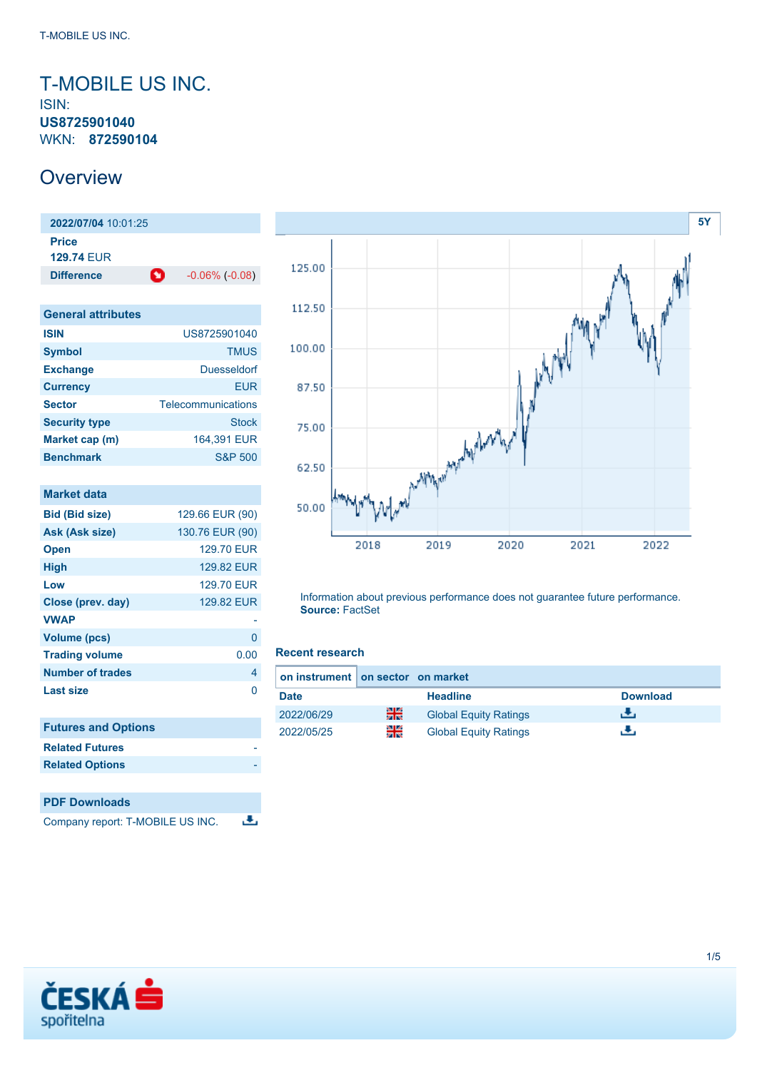### <span id="page-0-0"></span>T-MOBILE US INC. ISIN: **US8725901040** WKN: **872590104**

### **Overview**

**2022/07/04** 10:01:25 **Price 129.74** EUR **Difference 1** -0.06% (-0.08)

| <b>General attributes</b> |                    |
|---------------------------|--------------------|
| <b>ISIN</b>               | US8725901040       |
| <b>Symbol</b>             | <b>TMUS</b>        |
| <b>Exchange</b>           | Duesseldorf        |
| <b>Currency</b>           | FUR                |
| <b>Sector</b>             | Telecommunications |
| <b>Security type</b>      | <b>Stock</b>       |
| Market cap (m)            | 164.391 EUR        |
| <b>Benchmark</b>          | S&P 500            |

| <b>Market data</b>               |                   |
|----------------------------------|-------------------|
| <b>Bid (Bid size)</b>            | 129.66 EUR (90)   |
| Ask (Ask size)                   | 130.76 EUR (90)   |
| <b>Open</b>                      | <b>129.70 EUR</b> |
| <b>High</b>                      | <b>129.82 EUR</b> |
| Low                              | <b>129.70 EUR</b> |
| Close (prev. day)                | 129.82 EUR        |
| <b>VWAP</b>                      |                   |
| <b>Volume (pcs)</b>              | 0                 |
| <b>Trading volume</b>            | 0.00              |
| <b>Number of trades</b>          | 4                 |
| <b>Last size</b>                 | 0                 |
|                                  |                   |
| <b>Futures and Options</b>       |                   |
| <b>Related Futures</b>           |                   |
| <b>Related Options</b>           |                   |
|                                  |                   |
| <b>PDF Downloads</b>             |                   |
| Company report: T-MOBILE US INC. |                   |



Information about previous performance does not guarantee future performance. **Source:** FactSet

#### **Recent research**

|             | on instrument on sector on market |                              |                 |  |
|-------------|-----------------------------------|------------------------------|-----------------|--|
| <b>Date</b> |                                   | <b>Headline</b>              | <b>Download</b> |  |
| 2022/06/29  | 픪중                                | <b>Global Equity Ratings</b> | еΨ.             |  |
| 2022/05/25  | 읡                                 | <b>Global Equity Ratings</b> | ж.              |  |

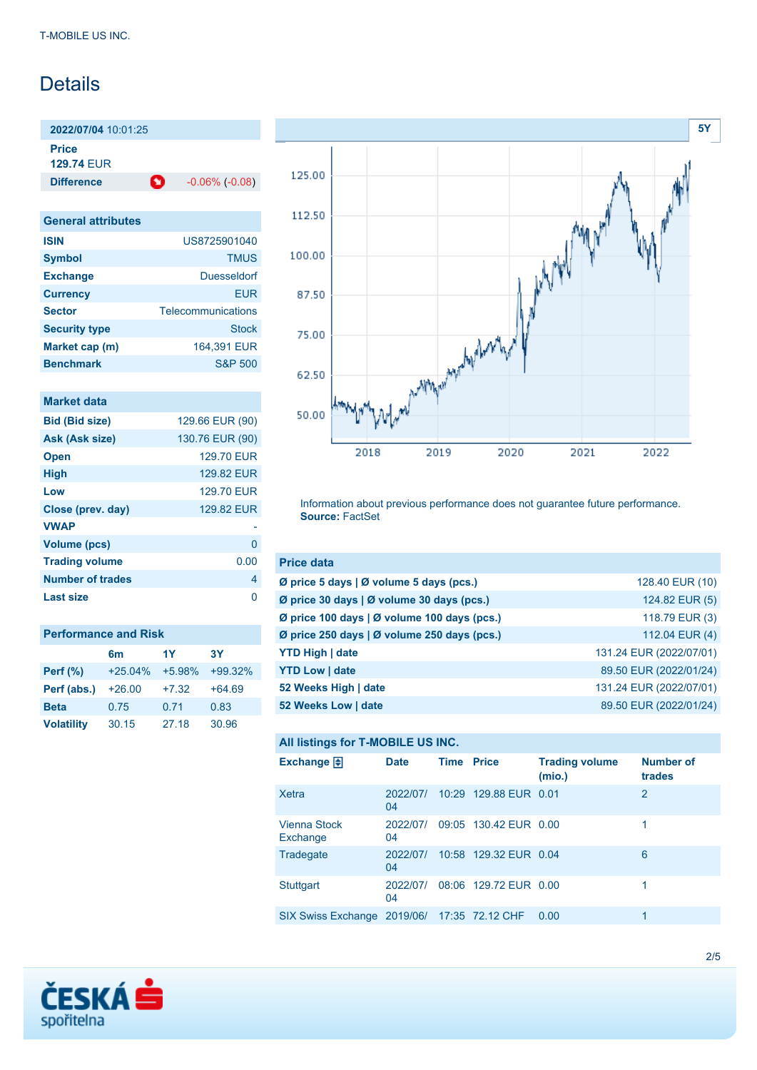### Details

**2022/07/04** 10:01:25

**Price**

**129.74** EUR

**Difference 1** -0.06% (-0.08)

| <b>General attributes</b> |                    |
|---------------------------|--------------------|
| <b>ISIN</b>               | US8725901040       |
| <b>Symbol</b>             | <b>TMUS</b>        |
| <b>Exchange</b>           | Duesseldorf        |
| <b>Currency</b>           | FUR                |
| <b>Sector</b>             | Telecommunications |
| <b>Security type</b>      | Stock              |
| Market cap (m)            | 164,391 EUR        |
| <b>Benchmark</b>          | S&P 500            |

### **Market data**

| <b>Bid (Bid size)</b>   | 129.66 EUR (90) |
|-------------------------|-----------------|
| <b>Ask (Ask size)</b>   | 130.76 EUR (90) |
| <b>Open</b>             | 129.70 EUR      |
| <b>High</b>             | 129.82 FUR      |
| Low                     | 129.70 EUR      |
| Close (prev. day)       | 129.82 EUR      |
| <b>VWAP</b>             |                 |
| <b>Volume (pcs)</b>     | O               |
| <b>Trading volume</b>   | 0.00            |
| <b>Number of trades</b> | 4               |
| Last size               | n               |

| <b>Performance and Risk</b> |                |          |           |  |  |
|-----------------------------|----------------|----------|-----------|--|--|
|                             | 6 <sub>m</sub> | 1Y       | 3Υ        |  |  |
| <b>Perf</b> (%)             | $+25.04%$      | $+5.98%$ | $+99.32%$ |  |  |
| Perf (abs.)                 | $+26.00$       | $+7.32$  | $+64.69$  |  |  |
| <b>Beta</b>                 | 0.75           | 0.71     | 0.83      |  |  |
| <b>Volatility</b>           | 30.15          | 27.18    | 30.96     |  |  |



Information about previous performance does not guarantee future performance. **Source:** FactSet

| <b>Price data</b>                           |                         |
|---------------------------------------------|-------------------------|
| Ø price 5 days   Ø volume 5 days (pcs.)     | 128.40 EUR (10)         |
| Ø price 30 days   Ø volume 30 days (pcs.)   | 124.82 EUR (5)          |
| Ø price 100 days   Ø volume 100 days (pcs.) | 118.79 EUR (3)          |
| Ø price 250 days   Ø volume 250 days (pcs.) | 112.04 EUR (4)          |
| <b>YTD High   date</b>                      | 131.24 EUR (2022/07/01) |
| <b>YTD Low   date</b>                       | 89.50 EUR (2022/01/24)  |
| 52 Weeks High   date                        | 131.24 EUR (2022/07/01) |
| 52 Weeks Low   date                         | 89.50 EUR (2022/01/24)  |

### **All listings for T-MOBILE US INC.**

| Exchange $\Box$                             | <b>Date</b>    | <b>Time Price</b> |                       | <b>Trading volume</b><br>(mio.) | <b>Number of</b><br>trades |
|---------------------------------------------|----------------|-------------------|-----------------------|---------------------------------|----------------------------|
| Xetra                                       | 2022/07/<br>04 |                   | 10:29 129.88 EUR 0.01 |                                 | 2                          |
| Vienna Stock<br>Exchange                    | 2022/07/<br>04 |                   | 09:05 130.42 EUR 0.00 |                                 |                            |
| Tradegate                                   | 2022/07/<br>04 |                   | 10:58 129.32 EUR 0.04 |                                 | 6                          |
| <b>Stuttgart</b>                            | 2022/07/<br>04 |                   | 08:06 129.72 EUR 0.00 |                                 |                            |
| SIX Swiss Exchange 2019/06/ 17:35 72.12 CHF |                |                   |                       | 0.00                            | 1                          |

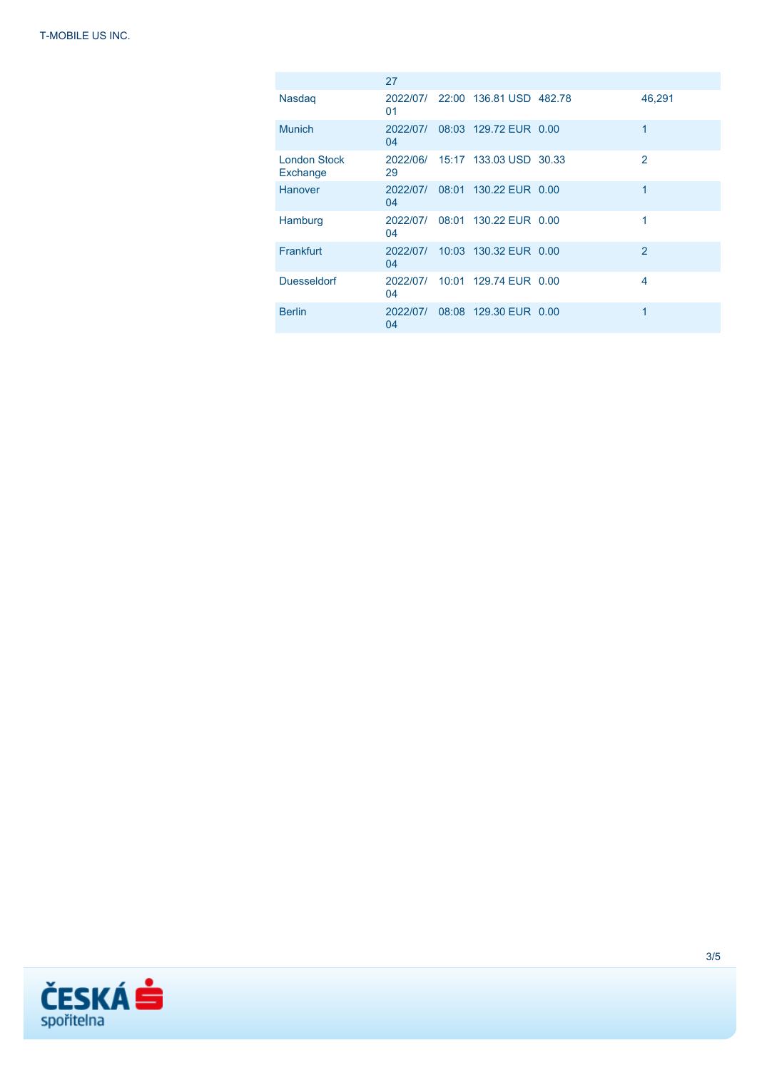|                                 | 27             |                                  |                |
|---------------------------------|----------------|----------------------------------|----------------|
| <b>Nasdag</b>                   | 01             | 2022/07/ 22:00 136.81 USD 482.78 | 46,291         |
| <b>Munich</b>                   | 2022/07/<br>04 | 08:03 129.72 EUR 0.00            | 1              |
| <b>London Stock</b><br>Exchange | 29             | 2022/06/ 15:17 133.03 USD 30.33  | $\overline{2}$ |
| Hanover                         | 2022/07/<br>04 | 08:01 130.22 EUR 0.00            | 1              |
| Hamburg                         | 2022/07/<br>04 | 08:01 130.22 EUR 0.00            | 1              |
| Frankfurt                       | 2022/07/<br>04 | 10:03 130.32 EUR 0.00            | 2              |
| <b>Duesseldorf</b>              | 04             | 2022/07/ 10:01 129.74 EUR 0.00   | $\overline{4}$ |
| <b>Berlin</b>                   | 2022/07/<br>04 | 08:08 129.30 EUR 0.00            | 1              |

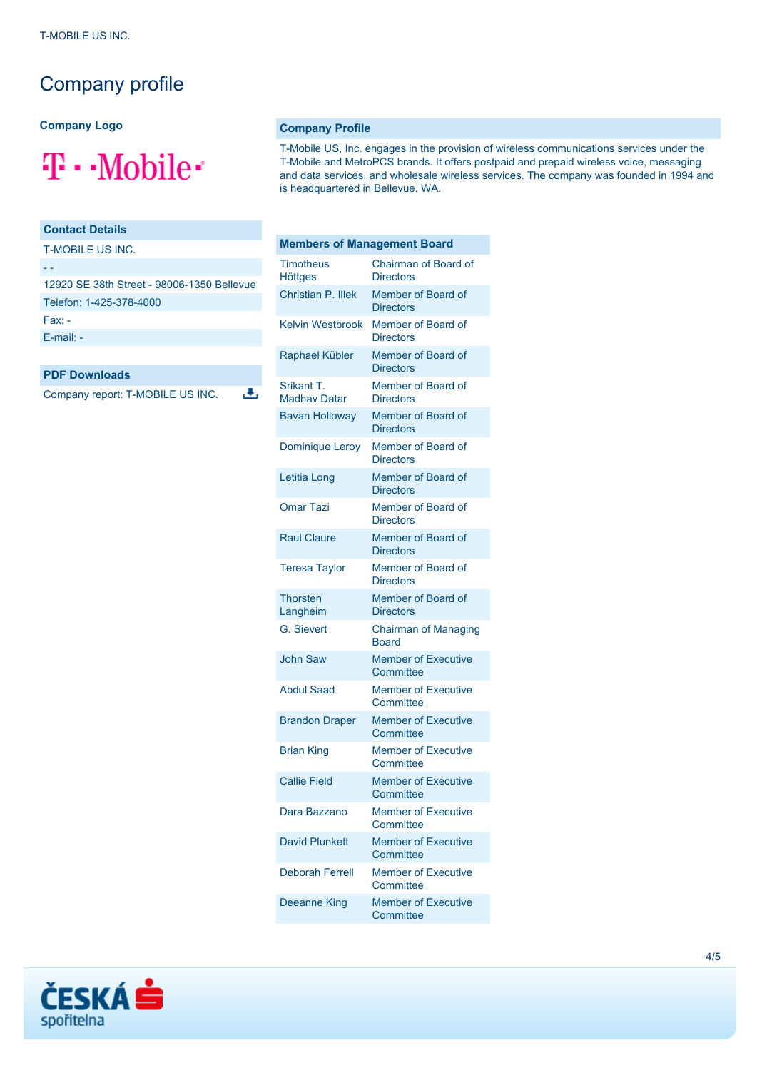## Company profile

**Company Logo**

# $\mathbf{T}\cdot\text{-Mobile}$

### **Contact Details**

T-MOBILE US INC.

- -

| 12920 SE 38th Street - 98006-1350 Bellevue |
|--------------------------------------------|
| Telefon: 1-425-378-4000                    |
| Fax: -                                     |
| $E$ -mail: -                               |

J.

#### **PDF Downloads**

Company report: T-MOBILE US INC.

#### **Company Profile**

T-Mobile US, Inc. engages in the provision of wireless communications services under the T-Mobile and MetroPCS brands. It offers postpaid and prepaid wireless voice, messaging and data services, and wholesale wireless services. The company was founded in 1994 and is headquartered in Bellevue, WA.

| <b>Members of Management Board</b> |                                             |  |
|------------------------------------|---------------------------------------------|--|
| <b>Timotheus</b><br><b>Höttges</b> | Chairman of Board of<br><b>Directors</b>    |  |
| Christian P. Illek                 | Member of Board of<br><b>Directors</b>      |  |
| <b>Kelvin Westbrook</b>            | Member of Board of<br><b>Directors</b>      |  |
| Raphael Kübler                     | Member of Board of<br><b>Directors</b>      |  |
| Srikant T.<br><b>Madhay Datar</b>  | Member of Board of<br><b>Directors</b>      |  |
| <b>Bavan Holloway</b>              | Member of Board of<br><b>Directors</b>      |  |
| <b>Dominique Leroy</b>             | Member of Board of<br><b>Directors</b>      |  |
| Letitia Long                       | Member of Board of<br><b>Directors</b>      |  |
| <b>Omar Tazi</b>                   | Member of Board of<br><b>Directors</b>      |  |
| <b>Raul Claure</b>                 | Member of Board of<br><b>Directors</b>      |  |
| <b>Teresa Taylor</b>               | Member of Board of<br><b>Directors</b>      |  |
| <b>Thorsten</b><br>Langheim        | Member of Board of<br><b>Directors</b>      |  |
| <b>G.</b> Sievert                  | <b>Chairman of Managing</b><br><b>Board</b> |  |
| <b>John Saw</b>                    | <b>Member of Executive</b><br>Committee     |  |
| <b>Abdul Saad</b>                  | <b>Member of Executive</b><br>Committee     |  |
| <b>Brandon Draper</b>              | <b>Member of Executive</b><br>Committee     |  |
| <b>Brian King</b>                  | <b>Member of Executive</b><br>Committee     |  |
| <b>Callie Field</b>                | <b>Member of Executive</b><br>Committee     |  |
| Dara Bazzano                       | <b>Member of Executive</b><br>Committee     |  |
| <b>David Plunkett</b>              | <b>Member of Executive</b><br>Committee     |  |
| <b>Deborah Ferrell</b>             | <b>Member of Executive</b><br>Committee     |  |
| Deeanne King                       | <b>Member of Executive</b><br>Committee     |  |